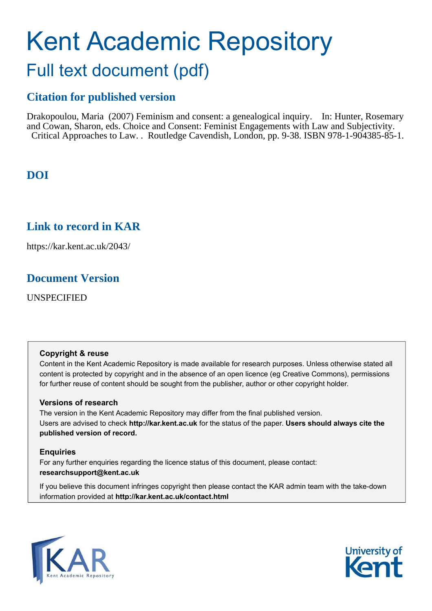# Kent Academic Repository Full text document (pdf)

# **Citation for published version**

Drakopoulou, Maria (2007) Feminism and consent: a genealogical inquiry. In: Hunter, Rosemary and Cowan, Sharon, eds. Choice and Consent: Feminist Engagements with Law and Subjectivity. Critical Approaches to Law. . Routledge Cavendish, London, pp. 9-38. ISBN 978-1-904385-85-1.

# **DOI**

# **Link to record in KAR**

https://kar.kent.ac.uk/2043/

# **Document Version**

UNSPECIFIED

## **Copyright & reuse**

Content in the Kent Academic Repository is made available for research purposes. Unless otherwise stated all content is protected by copyright and in the absence of an open licence (eg Creative Commons), permissions for further reuse of content should be sought from the publisher, author or other copyright holder.

## **Versions of research**

The version in the Kent Academic Repository may differ from the final published version. Users are advised to check **http://kar.kent.ac.uk** for the status of the paper. **Users should always cite the published version of record.**

## **Enquiries**

For any further enquiries regarding the licence status of this document, please contact: **researchsupport@kent.ac.uk**

If you believe this document infringes copyright then please contact the KAR admin team with the take-down information provided at **http://kar.kent.ac.uk/contact.html**



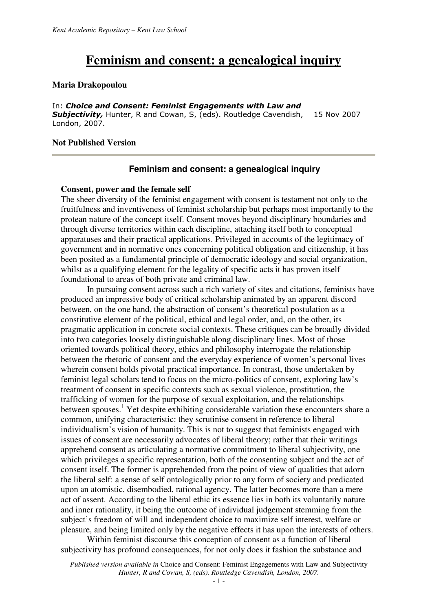# **Feminism and consent: a genealogical inquiry**

#### **Maria Drakopoulou**

In: Choice and Consent: Feminist Engagements with Law and Subjectivity, Hunter, R and Cowan, S, (eds). Routledge Cavendish, London, 2007. 15 Nov 2007

#### **Not Published Version**

## **Feminism and consent: a genealogical inquiry**

#### **Consent, power and the female self**

The sheer diversity of the feminist engagement with consent is testament not only to the fruitfulness and inventiveness of feminist scholarship but perhaps most importantly to the protean nature of the concept itself. Consent moves beyond disciplinary boundaries and through diverse territories within each discipline, attaching itself both to conceptual apparatuses and their practical applications. Privileged in accounts of the legitimacy of government and in normative ones concerning political obligation and citizenship, it has been posited as a fundamental principle of democratic ideology and social organization, whilst as a qualifying element for the legality of specific acts it has proven itself foundational to areas of both private and criminal law.

In pursuing consent across such a rich variety of sites and citations, feminists have produced an impressive body of critical scholarship animated by an apparent discord between, on the one hand, the abstraction of consent's theoretical postulation as a constitutive element of the political, ethical and legal order, and, on the other, its pragmatic application in concrete social contexts. These critiques can be broadly divided into two categories loosely distinguishable along disciplinary lines. Most of those oriented towards political theory, ethics and philosophy interrogate the relationship between the rhetoric of consent and the everyday experience of women's personal lives wherein consent holds pivotal practical importance. In contrast, those undertaken by feminist legal scholars tend to focus on the micro-politics of consent, exploring law's treatment of consent in specific contexts such as sexual violence, prostitution, the trafficking of women for the purpose of sexual exploitation, and the relationships between spouses.<sup>1</sup> Yet despite exhibiting considerable variation these encounters share a common, unifying characteristic: they scrutinise consent in reference to liberal individualism's vision of humanity. This is not to suggest that feminists engaged with issues of consent are necessarily advocates of liberal theory; rather that their writings apprehend consent as articulating a normative commitment to liberal subjectivity, one which privileges a specific representation, both of the consenting subject and the act of consent itself. The former is apprehended from the point of view of qualities that adorn the liberal self: a sense of self ontologically prior to any form of society and predicated upon an atomistic, disembodied, rational agency. The latter becomes more than a mere act of assent. According to the liberal ethic its essence lies in both its voluntarily nature and inner rationality, it being the outcome of individual judgement stemming from the subject's freedom of will and independent choice to maximize self interest, welfare or pleasure, and being limited only by the negative effects it has upon the interests of others.

Within feminist discourse this conception of consent as a function of liberal subjectivity has profound consequences, for not only does it fashion the substance and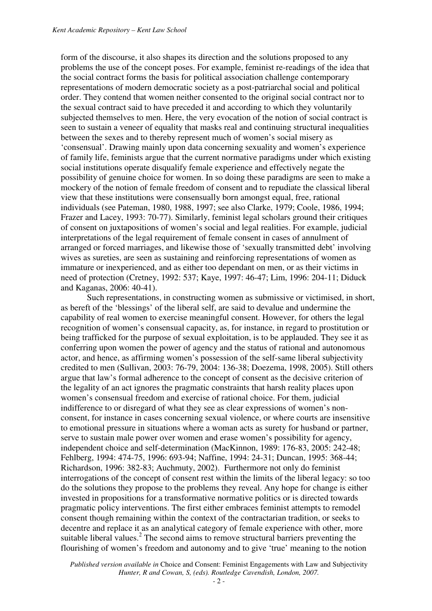form of the discourse, it also shapes its direction and the solutions proposed to any problems the use of the concept poses. For example, feminist re-readings of the idea that the social contract forms the basis for political association challenge contemporary representations of modern democratic society as a post-patriarchal social and political order. They contend that women neither consented to the original social contract nor to the sexual contract said to have preceded it and according to which they voluntarily subjected themselves to men. Here, the very evocation of the notion of social contract is seen to sustain a veneer of equality that masks real and continuing structural inequalities between the sexes and to thereby represent much of women's social misery as 'consensual'. Drawing mainly upon data concerning sexuality and women's experience of family life, feminists argue that the current normative paradigms under which existing social institutions operate disqualify female experience and effectively negate the possibility of genuine choice for women. In so doing these paradigms are seen to make a mockery of the notion of female freedom of consent and to repudiate the classical liberal view that these institutions were consensually born amongst equal, free, rational individuals (see Pateman, 1980, 1988, 1997; see also Clarke, 1979; Coole, 1986, 1994; Frazer and Lacey, 1993: 70-77). Similarly, feminist legal scholars ground their critiques of consent on juxtapositions of women's social and legal realities. For example, judicial interpretations of the legal requirement of female consent in cases of annulment of arranged or forced marriages, and likewise those of 'sexually transmitted debt' involving wives as sureties, are seen as sustaining and reinforcing representations of women as immature or inexperienced, and as either too dependant on men, or as their victims in need of protection (Cretney, 1992: 537; Kaye, 1997: 46-47; Lim, 1996: 204-11; Diduck and Kaganas, 2006: 40-41).

Such representations, in constructing women as submissive or victimised, in short, as bereft of the 'blessings' of the liberal self, are said to devalue and undermine the capability of real women to exercise meaningful consent. However, for others the legal recognition of women's consensual capacity, as, for instance, in regard to prostitution or being trafficked for the purpose of sexual exploitation, is to be applauded. They see it as conferring upon women the power of agency and the status of rational and autonomous actor, and hence, as affirming women's possession of the self-same liberal subjectivity credited to men (Sullivan, 2003: 76-79, 2004: 136-38; Doezema, 1998, 2005). Still others argue that law's formal adherence to the concept of consent as the decisive criterion of the legality of an act ignores the pragmatic constraints that harsh reality places upon women's consensual freedom and exercise of rational choice. For them, judicial indifference to or disregard of what they see as clear expressions of women's nonconsent, for instance in cases concerning sexual violence, or where courts are insensitive to emotional pressure in situations where a woman acts as surety for husband or partner, serve to sustain male power over women and erase women's possibility for agency, independent choice and self-determination (MacKinnon, 1989: 176-83, 2005: 242-48; Fehlberg, 1994: 474-75, 1996: 693-94; Naffine, 1994: 24-31; Duncan, 1995: 368-44; Richardson, 1996: 382-83; Auchmuty, 2002). Furthermore not only do feminist interrogations of the concept of consent rest within the limits of the liberal legacy: so too do the solutions they propose to the problems they reveal. Any hope for change is either invested in propositions for a transformative normative politics or is directed towards pragmatic policy interventions. The first either embraces feminist attempts to remodel consent though remaining within the context of the contractarian tradition, or seeks to decentre and replace it as an analytical category of female experience with other, more suitable liberal values. $2$  The second aims to remove structural barriers preventing the flourishing of women's freedom and autonomy and to give 'true' meaning to the notion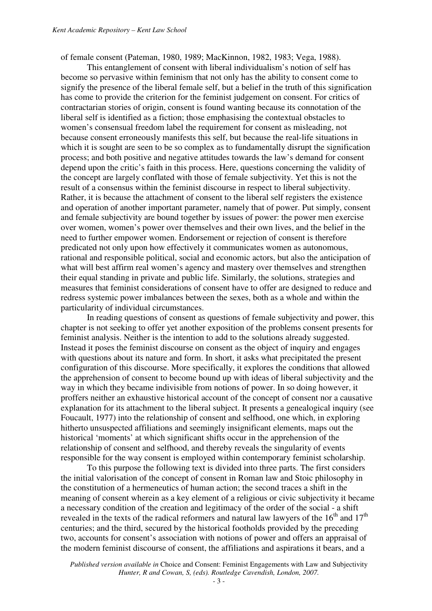of female consent (Pateman, 1980, 1989; MacKinnon, 1982, 1983; Vega, 1988).

This entanglement of consent with liberal individualism's notion of self has become so pervasive within feminism that not only has the ability to consent come to signify the presence of the liberal female self, but a belief in the truth of this signification has come to provide the criterion for the feminist judgement on consent. For critics of contractarian stories of origin, consent is found wanting because its connotation of the liberal self is identified as a fiction; those emphasising the contextual obstacles to women's consensual freedom label the requirement for consent as misleading, not because consent erroneously manifests this self, but because the real-life situations in which it is sought are seen to be so complex as to fundamentally disrupt the signification process; and both positive and negative attitudes towards the law's demand for consent depend upon the critic's faith in this process. Here, questions concerning the validity of the concept are largely conflated with those of female subjectivity. Yet this is not the result of a consensus within the feminist discourse in respect to liberal subjectivity. Rather, it is because the attachment of consent to the liberal self registers the existence and operation of another important parameter, namely that of power. Put simply, consent and female subjectivity are bound together by issues of power: the power men exercise over women, women's power over themselves and their own lives, and the belief in the need to further empower women. Endorsement or rejection of consent is therefore predicated not only upon how effectively it communicates women as autonomous, rational and responsible political, social and economic actors, but also the anticipation of what will best affirm real women's agency and mastery over themselves and strengthen their equal standing in private and public life. Similarly, the solutions, strategies and measures that feminist considerations of consent have to offer are designed to reduce and redress systemic power imbalances between the sexes, both as a whole and within the particularity of individual circumstances.

In reading questions of consent as questions of female subjectivity and power, this chapter is not seeking to offer yet another exposition of the problems consent presents for feminist analysis. Neither is the intention to add to the solutions already suggested. Instead it poses the feminist discourse on consent as the object of inquiry and engages with questions about its nature and form. In short, it asks what precipitated the present configuration of this discourse. More specifically, it explores the conditions that allowed the apprehension of consent to become bound up with ideas of liberal subjectivity and the way in which they became indivisible from notions of power. In so doing however, it proffers neither an exhaustive historical account of the concept of consent nor a causative explanation for its attachment to the liberal subject. It presents a genealogical inquiry (see Foucault, 1977) into the relationship of consent and selfhood, one which, in exploring hitherto unsuspected affiliations and seemingly insignificant elements, maps out the historical 'moments' at which significant shifts occur in the apprehension of the relationship of consent and selfhood, and thereby reveals the singularity of events responsible for the way consent is employed within contemporary feminist scholarship.

To this purpose the following text is divided into three parts. The first considers the initial valorisation of the concept of consent in Roman law and Stoic philosophy in the constitution of a hermeneutics of human action; the second traces a shift in the meaning of consent wherein as a key element of a religious or civic subjectivity it became a necessary condition of the creation and legitimacy of the order of the social - a shift revealed in the texts of the radical reformers and natural law lawyers of the 16<sup>th</sup> and 17<sup>th</sup> centuries; and the third, secured by the historical footholds provided by the preceding two, accounts for consent's association with notions of power and offers an appraisal of the modern feminist discourse of consent, the affiliations and aspirations it bears, and a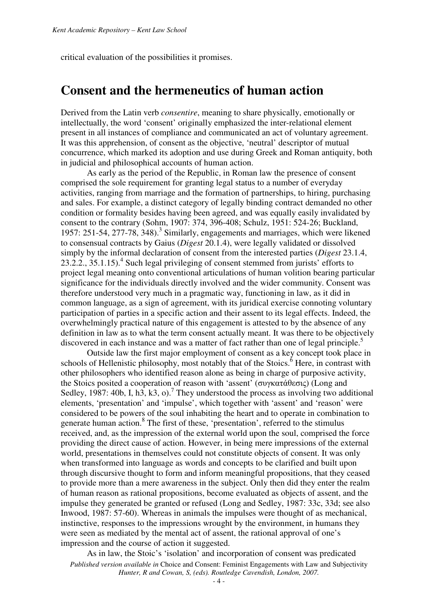critical evaluation of the possibilities it promises.

## **Consent and the hermeneutics of human action**

Derived from the Latin verb *consentire*, meaning to share physically, emotionally or intellectually, the word 'consent' originally emphasized the inter-relational element present in all instances of compliance and communicated an act of voluntary agreement. It was this apprehension, of consent as the objective, 'neutral' descriptor of mutual concurrence, which marked its adoption and use during Greek and Roman antiquity, both in judicial and philosophical accounts of human action.

As early as the period of the Republic, in Roman law the presence of consent comprised the sole requirement for granting legal status to a number of everyday activities, ranging from marriage and the formation of partnerships, to hiring, purchasing and sales. For example, a distinct category of legally binding contract demanded no other condition or formality besides having been agreed, and was equally easily invalidated by consent to the contrary (Sohm, 1907: 374, 396-408; Schulz, 1951: 524-26; Buckland, 1957: 251-54, 277-78, 348).<sup>3</sup> Similarly, engagements and marriages, which were likened to consensual contracts by Gaius (*Digest* 20.1.4), were legally validated or dissolved simply by the informal declaration of consent from the interested parties (*Digest* 23.1.4,  $23.2.2$ ,  $35.1.15$ ).<sup>4</sup> Such legal privileging of consent stemmed from jurists' efforts to project legal meaning onto conventional articulations of human volition bearing particular significance for the individuals directly involved and the wider community. Consent was therefore understood very much in a pragmatic way, functioning in law, as it did in common language, as a sign of agreement, with its juridical exercise connoting voluntary participation of parties in a specific action and their assent to its legal effects. Indeed, the overwhelmingly practical nature of this engagement is attested to by the absence of any definition in law as to what the term consent actually meant. It was there to be objectively discovered in each instance and was a matter of fact rather than one of legal principle.<sup>5</sup>

Outside law the first major employment of consent as a key concept took place in schools of Hellenistic philosophy, most notably that of the Stoics.<sup> $\delta$ </sup> Here, in contrast with other philosophers who identified reason alone as being in charge of purposive activity, the Stoics posited a cooperation of reason with 'assent' (συγκατάθεσις) (Long and Sedley, 1987: 40b, I, h3, k3, o).<sup>7</sup> They understood the process as involving two additional elements, 'presentation' and 'impulse', which together with 'assent' and 'reason' were considered to be powers of the soul inhabiting the heart and to operate in combination to generate human action.<sup>8</sup> The first of these, 'presentation', referred to the stimulus received, and, as the impression of the external world upon the soul, comprised the force providing the direct cause of action. However, in being mere impressions of the external world, presentations in themselves could not constitute objects of consent. It was only when transformed into language as words and concepts to be clarified and built upon through discursive thought to form and inform meaningful propositions, that they ceased to provide more than a mere awareness in the subject. Only then did they enter the realm of human reason as rational propositions, become evaluated as objects of assent, and the impulse they generated be granted or refused (Long and Sedley, 1987: 33c, 33d; see also Inwood, 1987: 57-60). Whereas in animals the impulses were thought of as mechanical, instinctive, responses to the impressions wrought by the environment, in humans they were seen as mediated by the mental act of assent, the rational approval of one's impression and the course of action it suggested.

*Published version available in* Choice and Consent: Feminist Engagements with Law and Subjectivity *Hunter, R and Cowan, S, (eds). Routledge Cavendish, London, 2007.* As in law, the Stoic's 'isolation' and incorporation of consent was predicated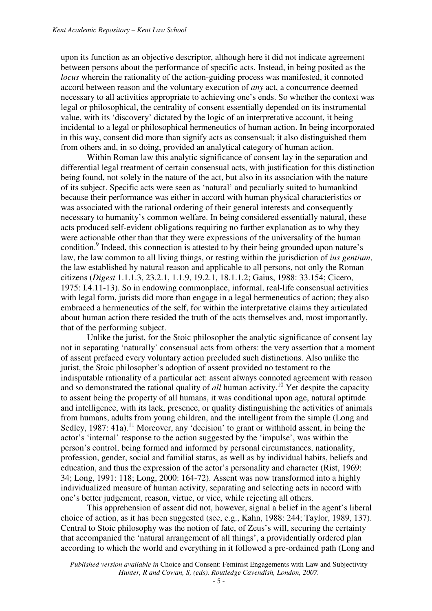upon its function as an objective descriptor, although here it did not indicate agreement between persons about the performance of specific acts. Instead, in being posited as the *locus* wherein the rationality of the action-guiding process was manifested, it connoted accord between reason and the voluntary execution of *any* act, a concurrence deemed necessary to all activities appropriate to achieving one's ends. So whether the context was legal or philosophical, the centrality of consent essentially depended on its instrumental value, with its 'discovery' dictated by the logic of an interpretative account, it being incidental to a legal or philosophical hermeneutics of human action. In being incorporated in this way, consent did more than signify acts as consensual; it also distinguished them from others and, in so doing, provided an analytical category of human action.

Within Roman law this analytic significance of consent lay in the separation and differential legal treatment of certain consensual acts, with justification for this distinction being found, not solely in the nature of the act, but also in its association with the nature of its subject. Specific acts were seen as 'natural' and peculiarly suited to humankind because their performance was either in accord with human physical characteristics or was associated with the rational ordering of their general interests and consequently necessary to humanity's common welfare. In being considered essentially natural, these acts produced self-evident obligations requiring no further explanation as to why they were actionable other than that they were expressions of the universality of the human condition.<sup>9</sup> Indeed, this connection is attested to by their being grounded upon nature's law, the law common to all living things, or resting within the jurisdiction of *ius gentium*, the law established by natural reason and applicable to all persons, not only the Roman citizens (*Digest* 1.1.1.3, 23.2.1, 1.1.9, 19.2.1, 18.1.1.2; Gaius, 1988: 33.154; Cicero, 1975: I.4.11-13). So in endowing commonplace, informal, real-life consensual activities with legal form, jurists did more than engage in a legal hermeneutics of action; they also embraced a hermeneutics of the self, for within the interpretative claims they articulated about human action there resided the truth of the acts themselves and, most importantly, that of the performing subject.

 Unlike the jurist, for the Stoic philosopher the analytic significance of consent lay not in separating 'naturally' consensual acts from others: the very assertion that a moment of assent prefaced every voluntary action precluded such distinctions. Also unlike the jurist, the Stoic philosopher's adoption of assent provided no testament to the indisputable rationality of a particular act: assent always connoted agreement with reason and so demonstrated the rational quality of *all* human activity.<sup>10</sup> Yet despite the capacity to assent being the property of all humans, it was conditional upon age, natural aptitude and intelligence, with its lack, presence, or quality distinguishing the activities of animals from humans, adults from young children, and the intelligent from the simple (Long and Sedley, 1987: 41a).<sup>11</sup> Moreover, any 'decision' to grant or withhold assent, in being the actor's 'internal' response to the action suggested by the 'impulse', was within the person's control, being formed and informed by personal circumstances, nationality, profession, gender, social and familial status, as well as by individual habits, beliefs and education, and thus the expression of the actor's personality and character (Rist, 1969: 34; Long, 1991: 118; Long, 2000: 164-72). Assent was now transformed into a highly individualized measure of human activity, separating and selecting acts in accord with one's better judgement, reason, virtue, or vice, while rejecting all others.

This apprehension of assent did not, however, signal a belief in the agent's liberal choice of action, as it has been suggested (see, e.g., Kahn, 1988: 244; Taylor, 1989, 137). Central to Stoic philosophy was the notion of fate, of Zeus's will, securing the certainty that accompanied the 'natural arrangement of all things', a providentially ordered plan according to which the world and everything in it followed a pre-ordained path (Long and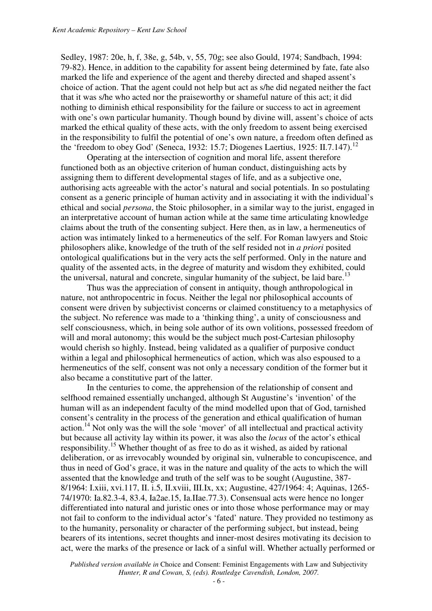Sedley, 1987: 20e, h, f, 38e, g, 54b, v, 55, 70g; see also Gould, 1974; Sandbach, 1994: 79-82). Hence, in addition to the capability for assent being determined by fate, fate also marked the life and experience of the agent and thereby directed and shaped assent's choice of action. That the agent could not help but act as s/he did negated neither the fact that it was s/he who acted nor the praiseworthy or shameful nature of this act; it did nothing to diminish ethical responsibility for the failure or success to act in agreement with one's own particular humanity. Though bound by divine will, assent's choice of acts marked the ethical quality of these acts, with the only freedom to assent being exercised in the responsibility to fulfil the potential of one's own nature, a freedom often defined as the 'freedom to obey God' (Seneca, 1932: 15.7; Diogenes Laertius, 1925: II.7.147).<sup>12</sup>

Operating at the intersection of cognition and moral life, assent therefore functioned both as an objective criterion of human conduct, distinguishing acts by assigning them to different developmental stages of life, and as a subjective one, authorising acts agreeable with the actor's natural and social potentials. In so postulating consent as a generic principle of human activity and in associating it with the individual's ethical and social *persona*, the Stoic philosopher, in a similar way to the jurist, engaged in an interpretative account of human action while at the same time articulating knowledge claims about the truth of the consenting subject. Here then, as in law, a hermeneutics of action was intimately linked to a hermeneutics of the self. For Roman lawyers and Stoic philosophers alike, knowledge of the truth of the self resided not in *a priori* posited ontological qualifications but in the very acts the self performed. Only in the nature and quality of the assented acts, in the degree of maturity and wisdom they exhibited, could the universal, natural and concrete, singular humanity of the subject, be laid bare.<sup>13</sup>

Thus was the appreciation of consent in antiquity, though anthropological in nature, not anthropocentric in focus. Neither the legal nor philosophical accounts of consent were driven by subjectivist concerns or claimed constituency to a metaphysics of the subject. No reference was made to a 'thinking thing', a unity of consciousness and self consciousness, which, in being sole author of its own volitions, possessed freedom of will and moral autonomy; this would be the subject much post-Cartesian philosophy would cherish so highly. Instead, being validated as a qualifier of purposive conduct within a legal and philosophical hermeneutics of action, which was also espoused to a hermeneutics of the self, consent was not only a necessary condition of the former but it also became a constitutive part of the latter.

In the centuries to come, the apprehension of the relationship of consent and selfhood remained essentially unchanged, although St Augustine's 'invention' of the human will as an independent faculty of the mind modelled upon that of God, tarnished consent's centrality in the process of the generation and ethical qualification of human action.<sup>14</sup> Not only was the will the sole 'mover' of all intellectual and practical activity but because all activity lay within its power, it was also the *locus* of the actor's ethical responsibility.<sup>15</sup> Whether thought of as free to do as it wished, as aided by rational deliberation, or as irrevocably wounded by original sin, vulnerable to concupiscence, and thus in need of God's grace, it was in the nature and quality of the acts to which the will assented that the knowledge and truth of the self was to be sought (Augustine, 387- 8/1964: I.xiii, xvi.117, II. i.5, II.xviii, III.Ix, xx; Augustine, 427/1964: 4; Aquinas, 1265- 74/1970: Ia.82.3-4, 83.4, Ia2ae.15, Ia.IIae.77.3). Consensual acts were hence no longer differentiated into natural and juristic ones or into those whose performance may or may not fail to conform to the individual actor's 'fated' nature. They provided no testimony as to the humanity, personality or character of the performing subject, but instead, being bearers of its intentions, secret thoughts and inner-most desires motivating its decision to act, were the marks of the presence or lack of a sinful will. Whether actually performed or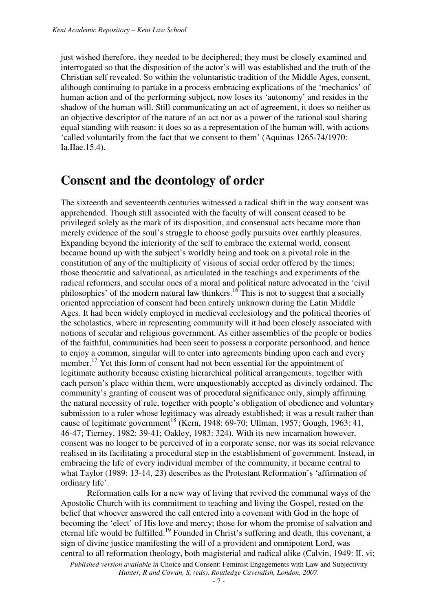just wished therefore, they needed to be deciphered; they must be closely examined and interrogated so that the disposition of the actor's will was established and the truth of the Christian self revealed. So within the voluntaristic tradition of the Middle Ages, consent, although continuing to partake in a process embracing explications of the 'mechanics' of human action and of the performing subject, now loses its 'autonomy' and resides in the shadow of the human will. Still communicating an act of agreement, it does so neither as an objective descriptor of the nature of an act nor as a power of the rational soul sharing equal standing with reason: it does so as a representation of the human will, with actions 'called voluntarily from the fact that we consent to them' (Aquinas 1265-74/1970: Ia.IIae.15.4).

## **Consent and the deontology of order**

The sixteenth and seventeenth centuries witnessed a radical shift in the way consent was apprehended. Though still associated with the faculty of will consent ceased to be privileged solely as the mark of its disposition, and consensual acts became more than merely evidence of the soul's struggle to choose godly pursuits over earthly pleasures. Expanding beyond the interiority of the self to embrace the external world, consent became bound up with the subject's worldly being and took on a pivotal role in the constitution of any of the multiplicity of visions of social order offered by the times; those theocratic and salvational, as articulated in the teachings and experiments of the radical reformers, and secular ones of a moral and political nature advocated in the 'civil philosophies' of the modern natural law thinkers.<sup>16</sup> This is not to suggest that a socially oriented appreciation of consent had been entirely unknown during the Latin Middle Ages. It had been widely employed in medieval ecclesiology and the political theories of the scholastics, where in representing community will it had been closely associated with notions of secular and religious government. As either assemblies of the people or bodies of the faithful, communities had been seen to possess a corporate personhood, and hence to enjoy a common, singular will to enter into agreements binding upon each and every member.<sup>17</sup> Yet this form of consent had not been essential for the appointment of legitimate authority because existing hierarchical political arrangements, together with each person's place within them, were unquestionably accepted as divinely ordained. The community's granting of consent was of procedural significance only, simply affirming the natural necessity of rule, together with people's obligation of obedience and voluntary submission to a ruler whose legitimacy was already established; it was a result rather than cause of legitimate government<sup>18</sup> (Kern, 1948: 69-70; Ullman, 1957; Gough, 1963: 41, 46-47; Tierney, 1982: 39-41; Oakley, 1983: 324). With its new incarnation however, consent was no longer to be perceived of in a corporate sense, nor was its social relevance realised in its facilitating a procedural step in the establishment of government. Instead, in embracing the life of every individual member of the community, it became central to what Taylor (1989: 13-14, 23) describes as the Protestant Reformation's 'affirmation of ordinary life'.

Reformation calls for a new way of living that revived the communal ways of the Apostolic Church with its commitment to teaching and living the Gospel, rested on the belief that whoever answered the call entered into a covenant with God in the hope of becoming the 'elect' of His love and mercy; those for whom the promise of salvation and eternal life would be fulfilled.<sup>19</sup> Founded in Christ's suffering and death, this covenant, a sign of divine justice manifesting the will of a provident and omnipotent Lord, was central to all reformation theology, both magisterial and radical alike (Calvin, 1949: II. vi;

*Published version available in* Choice and Consent: Feminist Engagements with Law and Subjectivity *Hunter, R and Cowan, S, (eds). Routledge Cavendish, London, 2007.*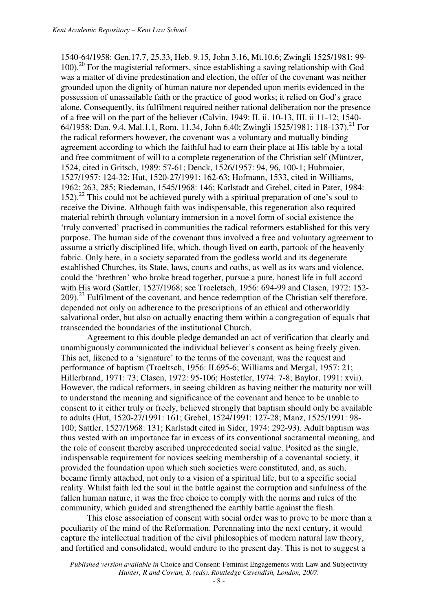1540-64/1958: Gen.17.7, 25.33, Heb. 9.15, John 3.16, Mt.10.6; Zwingli 1525/1981: 99-  $100$ ).<sup>20</sup> For the magisterial reformers, since establishing a saving relationship with God was a matter of divine predestination and election, the offer of the covenant was neither grounded upon the dignity of human nature nor depended upon merits evidenced in the possession of unassailable faith or the practice of good works; it relied on God's grace alone. Consequently, its fulfilment required neither rational deliberation nor the presence of a free will on the part of the believer (Calvin, 1949: II. ii. 10-13, III. ii 11-12; 1540- 64/1958: Dan. 9.4, Mal.1.1, Rom. 11.34, John 6.40; Zwingli 1525/1981: 118-137).<sup>21</sup> For the radical reformers however, the covenant was a voluntary and mutually binding agreement according to which the faithful had to earn their place at His table by a total and free commitment of will to a complete regeneration of the Christian self (Müntzer, 1524, cited in Gritsch, 1989: 57-61; Denck, 1526/1957: 94, 96, 100-1; Hubmaier, 1527/1957: 124-32; Hut, 1520-27/1991: 162-63; Hofmann, 1533, cited in Williams, 1962: 263, 285; Riedeman, 1545/1968: 146; Karlstadt and Grebel, cited in Pater, 1984:  $152$ ).<sup>22</sup> This could not be achieved purely with a spiritual preparation of one's soul to receive the Divine. Although faith was indispensable, this regeneration also required material rebirth through voluntary immersion in a novel form of social existence the 'truly converted' practised in communities the radical reformers established for this very purpose. The human side of the covenant thus involved a free and voluntary agreement to assume a strictly disciplined life, which, though lived on earth, partook of the heavenly fabric. Only here, in a society separated from the godless world and its degenerate established Churches, its State, laws, courts and oaths, as well as its wars and violence, could the 'brethren' who broke bread together, pursue a pure, honest life in full accord with His word (Sattler, 1527/1968; see Troeletsch, 1956: 694-99 and Clasen, 1972: 152-  $209$ ).<sup>23</sup> Fulfilment of the covenant, and hence redemption of the Christian self therefore, depended not only on adherence to the prescriptions of an ethical and otherworldly salvational order, but also on actually enacting them within a congregation of equals that transcended the boundaries of the institutional Church.

Agreement to this double pledge demanded an act of verification that clearly and unambiguously communicated the individual believer's consent as being freely given. This act, likened to a 'signature' to the terms of the covenant, was the request and performance of baptism (Troeltsch, 1956: II.695-6; Williams and Mergal, 1957: 21; Hillerbrand, 1971: 73; Clasen, 1972: 95-106; Hostetler, 1974: 7-8; Baylor, 1991: xvii). However, the radical reformers, in seeing children as having neither the maturity nor will to understand the meaning and significance of the covenant and hence to be unable to consent to it either truly or freely, believed strongly that baptism should only be available to adults (Hut, 1520-27/1991: 161; Grebel, 1524/1991: 127-28; Manz, 1525/1991: 98- 100; Sattler, 1527/1968: 131; Karlstadt cited in Sider, 1974: 292-93). Adult baptism was thus vested with an importance far in excess of its conventional sacramental meaning, and the role of consent thereby ascribed unprecedented social value. Posited as the single, indispensable requirement for novices seeking membership of a covenantal society, it provided the foundation upon which such societies were constituted, and, as such, became firmly attached, not only to a vision of a spiritual life, but to a specific social reality. Whilst faith led the soul in the battle against the corruption and sinfulness of the fallen human nature, it was the free choice to comply with the norms and rules of the community, which guided and strengthened the earthly battle against the flesh.

This close association of consent with social order was to prove to be more than a peculiarity of the mind of the Reformation. Perennating into the next century, it would capture the intellectual tradition of the civil philosophies of modern natural law theory, and fortified and consolidated, would endure to the present day. This is not to suggest a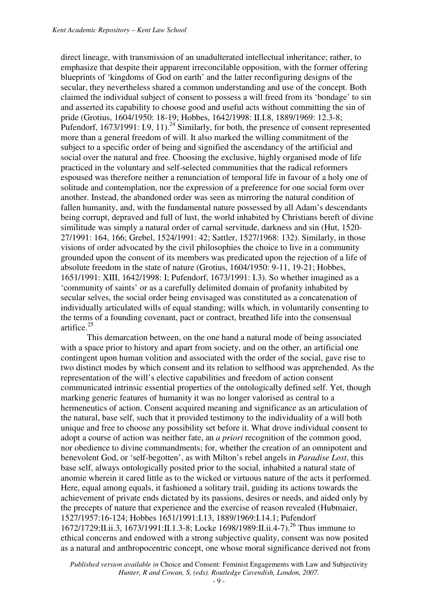direct lineage, with transmission of an unadulterated intellectual inheritance; rather, to emphasize that despite their apparent irreconcilable opposition, with the former offering blueprints of 'kingdoms of God on earth' and the latter reconfiguring designs of the secular, they nevertheless shared a common understanding and use of the concept. Both claimed the individual subject of consent to possess a will freed from its 'bondage' to sin and asserted its capability to choose good and useful acts without committing the sin of pride (Grotius, 1604/1950: 18-19; Hobbes, 1642/1998: II.I.8, 1889/1969: 12.3-8; Pufendorf,  $1673/1991$ : I.9, 11).<sup>24</sup> Similarly, for both, the presence of consent represented more than a general freedom of will. It also marked the willing commitment of the subject to a specific order of being and signified the ascendancy of the artificial and social over the natural and free. Choosing the exclusive, highly organised mode of life practiced in the voluntary and self-selected communities that the radical reformers espoused was therefore neither a renunciation of temporal life in favour of a holy one of solitude and contemplation, nor the expression of a preference for one social form over another. Instead, the abandoned order was seen as mirroring the natural condition of fallen humanity, and, with the fundamental nature possessed by all Adam's descendants being corrupt, depraved and full of lust, the world inhabited by Christians bereft of divine similitude was simply a natural order of carnal servitude, darkness and sin (Hut, 1520- 27/1991: 164, 166; Grebel, 1524/1991: 42; Sattler, 1527/1968: 132). Similarly, in those visions of order advocated by the civil philosophies the choice to live in a community grounded upon the consent of its members was predicated upon the rejection of a life of absolute freedom in the state of nature (Grotius, 1604/1950: 9-11, 19-21; Hobbes, 1651/1991: XIII, 1642/1998: I; Pufendorf, 1673/1991: I.3). So whether imagined as a 'community of saints' or as a carefully delimited domain of profanity inhabited by secular selves, the social order being envisaged was constituted as a concatenation of individually articulated wills of equal standing; wills which, in voluntarily consenting to the terms of a founding covenant, pact or contract, breathed life into the consensual artifice.<sup>25</sup>

 This demarcation between, on the one hand a natural mode of being associated with a space prior to history and apart from society, and on the other, an artificial one contingent upon human volition and associated with the order of the social, gave rise to two distinct modes by which consent and its relation to selfhood was apprehended. As the representation of the will's elective capabilities and freedom of action consent communicated intrinsic essential properties of the ontologically defined self. Yet, though marking generic features of humanity it was no longer valorised as central to a hermeneutics of action. Consent acquired meaning and significance as an articulation of the natural, base self, such that it provided testimony to the individuality of a will both unique and free to choose any possibility set before it. What drove individual consent to adopt a course of action was neither fate, an *a priori* recognition of the common good, nor obedience to divine commandments; for, whether the creation of an omnipotent and benevolent God, or 'self-begotten', as with Milton's rebel angels in *Paradise Lost*, this base self, always ontologically posited prior to the social, inhabited a natural state of anomie wherein it cared little as to the wicked or virtuous nature of the acts it performed. Here, equal among equals, it fashioned a solitary trail, guiding its actions towards the achievement of private ends dictated by its passions, desires or needs, and aided only by the precepts of nature that experience and the exercise of reason revealed (Hubmaier, 1527/1957:16-124; Hobbes 1651/1991:I.13, 1889/1969:I.14.1; Pufendorf 1672/1729:II.ii.3, 1673/1991:II.1.3-8; Locke 1698/1989:II.ii.4-7).<sup>26</sup> Thus immune to ethical concerns and endowed with a strong subjective quality, consent was now posited as a natural and anthropocentric concept, one whose moral significance derived not from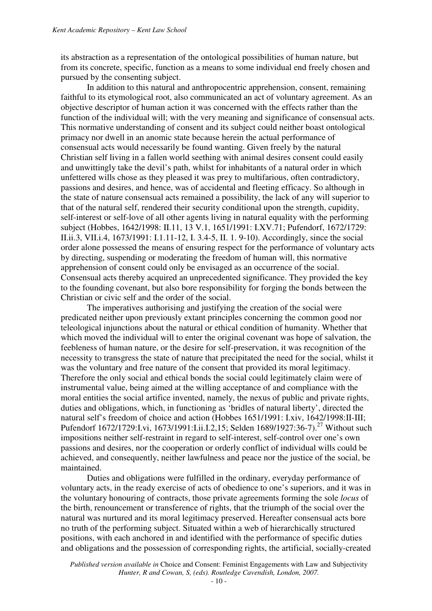its abstraction as a representation of the ontological possibilities of human nature, but from its concrete, specific, function as a means to some individual end freely chosen and pursued by the consenting subject.

In addition to this natural and anthropocentric apprehension, consent, remaining faithful to its etymological root, also communicated an act of voluntary agreement. As an objective descriptor of human action it was concerned with the effects rather than the function of the individual will; with the very meaning and significance of consensual acts. This normative understanding of consent and its subject could neither boast ontological primacy nor dwell in an anomic state because herein the actual performance of consensual acts would necessarily be found wanting. Given freely by the natural Christian self living in a fallen world seething with animal desires consent could easily and unwittingly take the devil's path, whilst for inhabitants of a natural order in which unfettered wills chose as they pleased it was prey to multifarious, often contradictory, passions and desires, and hence, was of accidental and fleeting efficacy. So although in the state of nature consensual acts remained a possibility, the lack of any will superior to that of the natural self, rendered their security conditional upon the strength, cupidity, self-interest or self-love of all other agents living in natural equality with the performing subject (Hobbes, 1642/1998: II.11, 13 V.1, 1651/1991: I.XV.71; Pufendorf, 1672/1729: II.ii.3, VII.i.4, 1673/1991: I.1.11-12, I. 3.4-5, II. 1. 9-10). Accordingly, since the social order alone possessed the means of ensuring respect for the performance of voluntary acts by directing, suspending or moderating the freedom of human will, this normative apprehension of consent could only be envisaged as an occurrence of the social. Consensual acts thereby acquired an unprecedented significance. They provided the key to the founding covenant, but also bore responsibility for forging the bonds between the Christian or civic self and the order of the social.

The imperatives authorising and justifying the creation of the social were predicated neither upon previously extant principles concerning the common good nor teleological injunctions about the natural or ethical condition of humanity. Whether that which moved the individual will to enter the original covenant was hope of salvation, the feebleness of human nature, or the desire for self-preservation, it was recognition of the necessity to transgress the state of nature that precipitated the need for the social, whilst it was the voluntary and free nature of the consent that provided its moral legitimacy. Therefore the only social and ethical bonds the social could legitimately claim were of instrumental value, being aimed at the willing acceptance of and compliance with the moral entities the social artifice invented, namely, the nexus of public and private rights, duties and obligations, which, in functioning as 'bridles of natural liberty', directed the natural self's freedom of choice and action (Hobbes 1651/1991: I.xiv, 1642/1998:II-III; Pufendorf 1672/1729:I.vi, 1673/1991:I.ii.I.2,15; Selden 1689/1927:36-7).<sup>27</sup> Without such impositions neither self-restraint in regard to self-interest, self-control over one's own passions and desires, nor the cooperation or orderly conflict of individual wills could be achieved, and consequently, neither lawfulness and peace nor the justice of the social, be maintained.

Duties and obligations were fulfilled in the ordinary, everyday performance of voluntary acts, in the ready exercise of acts of obedience to one's superiors, and it was in the voluntary honouring of contracts, those private agreements forming the sole *locus* of the birth, renouncement or transference of rights, that the triumph of the social over the natural was nurtured and its moral legitimacy preserved. Hereafter consensual acts bore no truth of the performing subject. Situated within a web of hierarchically structured positions, with each anchored in and identified with the performance of specific duties and obligations and the possession of corresponding rights, the artificial, socially-created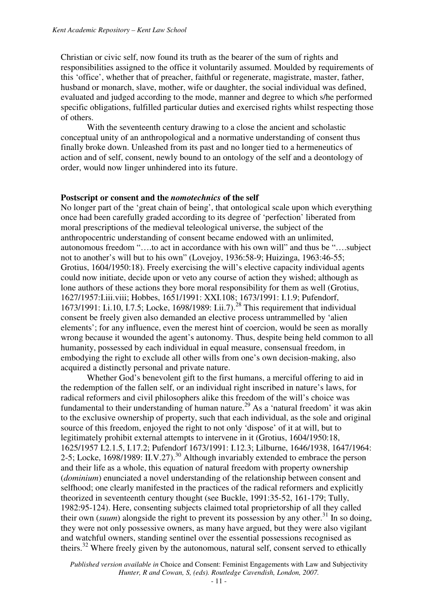Christian or civic self, now found its truth as the bearer of the sum of rights and responsibilities assigned to the office it voluntarily assumed. Moulded by requirements of this 'office', whether that of preacher, faithful or regenerate, magistrate, master, father, husband or monarch, slave, mother, wife or daughter, the social individual was defined, evaluated and judged according to the mode, manner and degree to which s/he performed specific obligations, fulfilled particular duties and exercised rights whilst respecting those of others.

With the seventeenth century drawing to a close the ancient and scholastic conceptual unity of an anthropological and a normative understanding of consent thus finally broke down. Unleashed from its past and no longer tied to a hermeneutics of action and of self, consent, newly bound to an ontology of the self and a deontology of order, would now linger unhindered into its future.

#### **Postscript or consent and the** *nomotechnics* **of the self**

No longer part of the 'great chain of being', that ontological scale upon which everything once had been carefully graded according to its degree of 'perfection' liberated from moral prescriptions of the medieval teleological universe, the subject of the anthropocentric understanding of consent became endowed with an unlimited, autonomous freedom "….to act in accordance with his own will" and thus be "….subject not to another's will but to his own" (Lovejoy, 1936:58-9; Huizinga, 1963:46-55; Grotius, 1604/1950:18). Freely exercising the will's elective capacity individual agents could now initiate, decide upon or veto any course of action they wished; although as lone authors of these actions they bore moral responsibility for them as well (Grotius, 1627/1957:I.iii.viii; Hobbes, 1651/1991: XXI.108; 1673/1991: I.1.9; Pufendorf, 1673/1991: I.i.10, I.7.5; Locke, 1698/1989: I.ii.7). <sup>28</sup> This requirement that individual consent be freely given also demanded an elective process untrammelled by 'alien elements'; for any influence, even the merest hint of coercion, would be seen as morally wrong because it wounded the agent's autonomy. Thus, despite being held common to all humanity, possessed by each individual in equal measure, consensual freedom, in embodying the right to exclude all other wills from one's own decision-making, also acquired a distinctly personal and private nature.

Whether God's benevolent gift to the first humans, a merciful offering to aid in the redemption of the fallen self, or an individual right inscribed in nature's laws, for radical reformers and civil philosophers alike this freedom of the will's choice was fundamental to their understanding of human nature.<sup>29</sup> As a 'natural freedom' it was akin to the exclusive ownership of property, such that each individual, as the sole and original source of this freedom, enjoyed the right to not only 'dispose' of it at will, but to legitimately prohibit external attempts to intervene in it (Grotius, 1604/1950:18, 1625/1957 I.2.1.5, I.17.2; Pufendorf 1673/1991: I.12.3; Lilburne, 1646/1938, 1647/1964: 2-5; Locke, 1698/1989: II.V.27).<sup>30</sup> Although invariably extended to embrace the person and their life as a whole, this equation of natural freedom with property ownership (*dominium*) enunciated a novel understanding of the relationship between consent and selfhood; one clearly manifested in the practices of the radical reformers and explicitly theorized in seventeenth century thought (see Buckle, 1991:35-52, 161-179; Tully, 1982:95-124). Here, consenting subjects claimed total proprietorship of all they called their own (*suum*) alongside the right to prevent its possession by any other.<sup>31</sup> In so doing, they were not only possessive owners, as many have argued, but they were also vigilant and watchful owners, standing sentinel over the essential possessions recognised as theirs.<sup>32</sup> Where freely given by the autonomous, natural self, consent served to ethically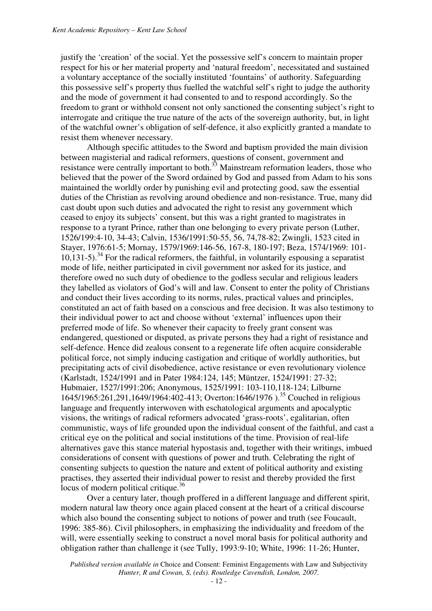justify the 'creation' of the social. Yet the possessive self's concern to maintain proper respect for his or her material property and 'natural freedom', necessitated and sustained a voluntary acceptance of the socially instituted 'fountains' of authority. Safeguarding this possessive self's property thus fuelled the watchful self's right to judge the authority and the mode of government it had consented to and to respond accordingly. So the freedom to grant or withhold consent not only sanctioned the consenting subject's right to interrogate and critique the true nature of the acts of the sovereign authority, but, in light of the watchful owner's obligation of self-defence, it also explicitly granted a mandate to resist them whenever necessary.

Although specific attitudes to the Sword and baptism provided the main division between magisterial and radical reformers, questions of consent, government and resistance were centrally important to both.<sup>33</sup> Mainstream reformation leaders, those who believed that the power of the Sword ordained by God and passed from Adam to his sons maintained the worldly order by punishing evil and protecting good, saw the essential duties of the Christian as revolving around obedience and non-resistance. True, many did cast doubt upon such duties and advocated the right to resist any government which ceased to enjoy its subjects' consent, but this was a right granted to magistrates in response to a tyrant Prince, rather than one belonging to every private person (Luther, 1526/199:4-10, 34-43; Calvin, 1536/1991:50-55, 56, 74,78-82; Zwingli, 1523 cited in Stayer, 1976:61-5; Mornay, 1579/1969:146-56, 167-8, 180-197; Beza, 1574/1969: 101- 10,131-5).<sup>34</sup> For the radical reformers, the faithful, in voluntarily espousing a separatist mode of life, neither participated in civil government nor asked for its justice, and therefore owed no such duty of obedience to the godless secular and religious leaders they labelled as violators of God's will and law. Consent to enter the polity of Christians and conduct their lives according to its norms, rules, practical values and principles, constituted an act of faith based on a conscious and free decision. It was also testimony to their individual power to act and choose without 'external' influences upon their preferred mode of life. So whenever their capacity to freely grant consent was endangered, questioned or disputed, as private persons they had a right of resistance and self-defence. Hence did zealous consent to a regenerate life often acquire considerable political force, not simply inducing castigation and critique of worldly authorities, but precipitating acts of civil disobedience, active resistance or even revolutionary violence (Karlstadt, 1524/1991 and in Pater 1984:124, 145; Müntzer, 1524/1991: 27-32; Hubmaier, 1527/1991:206; Anonymous, 1525/1991: 103-110,118-124; Lilburne 1645/1965:261,291,1649/1964:402-413; Overton:1646/1976 ).<sup>35</sup> Couched in religious language and frequently interwoven with eschatological arguments and apocalyptic visions, the writings of radical reformers advocated 'grass-roots', egalitarian, often communistic, ways of life grounded upon the individual consent of the faithful, and cast a critical eye on the political and social institutions of the time. Provision of real-life alternatives gave this stance material hypostasis and, together with their writings, imbued considerations of consent with questions of power and truth. Celebrating the right of consenting subjects to question the nature and extent of political authority and existing practises, they asserted their individual power to resist and thereby provided the first locus of modern political critique.<sup>36</sup>

Over a century later, though proffered in a different language and different spirit, modern natural law theory once again placed consent at the heart of a critical discourse which also bound the consenting subject to notions of power and truth (see Foucault, 1996: 385-86). Civil philosophers, in emphasizing the individuality and freedom of the will, were essentially seeking to construct a novel moral basis for political authority and obligation rather than challenge it (see Tully, 1993:9-10; White, 1996: 11-26; Hunter,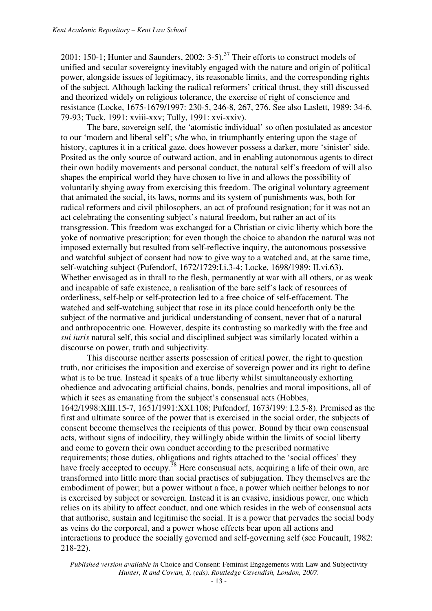2001: 150-1; Hunter and Saunders, 2002: 3-5).<sup>37</sup> Their efforts to construct models of unified and secular sovereignty inevitably engaged with the nature and origin of political power, alongside issues of legitimacy, its reasonable limits, and the corresponding rights of the subject. Although lacking the radical reformers' critical thrust, they still discussed and theorized widely on religious tolerance, the exercise of right of conscience and resistance (Locke, 1675-1679/1997: 230-5, 246-8, 267, 276. See also Laslett, 1989: 34-6, 79-93; Tuck, 1991: xviii-xxv; Tully, 1991: xvi-xxiv).

The bare, sovereign self, the 'atomistic individual' so often postulated as ancestor to our 'modern and liberal self'; s/he who, in triumphantly entering upon the stage of history, captures it in a critical gaze, does however possess a darker, more 'sinister' side. Posited as the only source of outward action, and in enabling autonomous agents to direct their own bodily movements and personal conduct, the natural self's freedom of will also shapes the empirical world they have chosen to live in and allows the possibility of voluntarily shying away from exercising this freedom. The original voluntary agreement that animated the social, its laws, norms and its system of punishments was, both for radical reformers and civil philosophers, an act of profound resignation; for it was not an act celebrating the consenting subject's natural freedom, but rather an act of its transgression. This freedom was exchanged for a Christian or civic liberty which bore the yoke of normative prescription; for even though the choice to abandon the natural was not imposed externally but resulted from self-reflective inquiry, the autonomous possessive and watchful subject of consent had now to give way to a watched and, at the same time, self-watching subject (Pufendorf, 1672/1729:I.i.3-4; Locke, 1698/1989: II.vi.63). Whether envisaged as in thrall to the flesh, permanently at war with all others, or as weak and incapable of safe existence, a realisation of the bare self's lack of resources of orderliness, self-help or self-protection led to a free choice of self-effacement. The watched and self-watching subject that rose in its place could henceforth only be the subject of the normative and juridical understanding of consent, never that of a natural and anthropocentric one. However, despite its contrasting so markedly with the free and *sui iuris* natural self, this social and disciplined subject was similarly located within a discourse on power, truth and subjectivity.

This discourse neither asserts possession of critical power, the right to question truth, nor criticises the imposition and exercise of sovereign power and its right to define what is to be true. Instead it speaks of a true liberty whilst simultaneously exhorting obedience and advocating artificial chains, bonds, penalties and moral impositions, all of which it sees as emanating from the subject's consensual acts (Hobbes, 1642/1998:XIII.15-7, 1651/1991:XXI.108; Pufendorf, 1673/199: I.2.5-8). Premised as the first and ultimate source of the power that is exercised in the social order, the subjects of consent become themselves the recipients of this power. Bound by their own consensual acts, without signs of indocility, they willingly abide within the limits of social liberty and come to govern their own conduct according to the prescribed normative requirements; those duties, obligations and rights attached to the 'social offices' they have freely accepted to occupy.<sup>38</sup> Here consensual acts, acquiring a life of their own, are transformed into little more than social practises of subjugation. They themselves are the embodiment of power; but a power without a face, a power which neither belongs to nor is exercised by subject or sovereign. Instead it is an evasive, insidious power, one which relies on its ability to affect conduct, and one which resides in the web of consensual acts that authorise, sustain and legitimise the social. It is a power that pervades the social body as veins do the corporeal, and a power whose effects bear upon all actions and interactions to produce the socially governed and self-governing self (see Foucault, 1982: 218-22).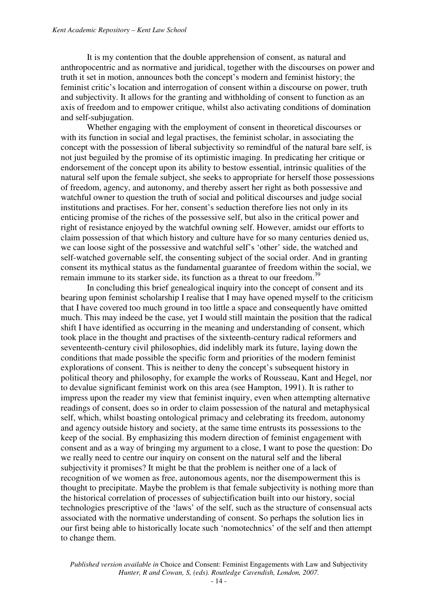It is my contention that the double apprehension of consent, as natural and anthropocentric and as normative and juridical, together with the discourses on power and truth it set in motion, announces both the concept's modern and feminist history; the feminist critic's location and interrogation of consent within a discourse on power, truth and subjectivity. It allows for the granting and withholding of consent to function as an axis of freedom and to empower critique, whilst also activating conditions of domination and self-subjugation.

Whether engaging with the employment of consent in theoretical discourses or with its function in social and legal practises, the feminist scholar, in associating the concept with the possession of liberal subjectivity so remindful of the natural bare self, is not just beguiled by the promise of its optimistic imaging. In predicating her critique or endorsement of the concept upon its ability to bestow essential, intrinsic qualities of the natural self upon the female subject, she seeks to appropriate for herself those possessions of freedom, agency, and autonomy, and thereby assert her right as both possessive and watchful owner to question the truth of social and political discourses and judge social institutions and practises. For her, consent's seduction therefore lies not only in its enticing promise of the riches of the possessive self, but also in the critical power and right of resistance enjoyed by the watchful owning self. However, amidst our efforts to claim possession of that which history and culture have for so many centuries denied us, we can loose sight of the possessive and watchful self's 'other' side, the watched and self-watched governable self, the consenting subject of the social order. And in granting consent its mythical status as the fundamental guarantee of freedom within the social, we remain immune to its starker side, its function as a threat to our freedom.<sup>39</sup>

In concluding this brief genealogical inquiry into the concept of consent and its bearing upon feminist scholarship I realise that I may have opened myself to the criticism that I have covered too much ground in too little a space and consequently have omitted much. This may indeed be the case, yet I would still maintain the position that the radical shift I have identified as occurring in the meaning and understanding of consent, which took place in the thought and practises of the sixteenth-century radical reformers and seventeenth-century civil philosophies, did indelibly mark its future, laying down the conditions that made possible the specific form and priorities of the modern feminist explorations of consent. This is neither to deny the concept's subsequent history in political theory and philosophy, for example the works of Rousseau, Kant and Hegel, nor to devalue significant feminist work on this area (see Hampton, 1991). It is rather to impress upon the reader my view that feminist inquiry, even when attempting alternative readings of consent, does so in order to claim possession of the natural and metaphysical self, which, whilst boasting ontological primacy and celebrating its freedom, autonomy and agency outside history and society, at the same time entrusts its possessions to the keep of the social. By emphasizing this modern direction of feminist engagement with consent and as a way of bringing my argument to a close, I want to pose the question: Do we really need to centre our inquiry on consent on the natural self and the liberal subjectivity it promises? It might be that the problem is neither one of a lack of recognition of we women as free, autonomous agents, nor the disempowerment this is thought to precipitate. Maybe the problem is that female subjectivity is nothing more than the historical correlation of processes of subjectification built into our history, social technologies prescriptive of the 'laws' of the self, such as the structure of consensual acts associated with the normative understanding of consent. So perhaps the solution lies in our first being able to historically locate such 'nomotechnics' of the self and then attempt to change them.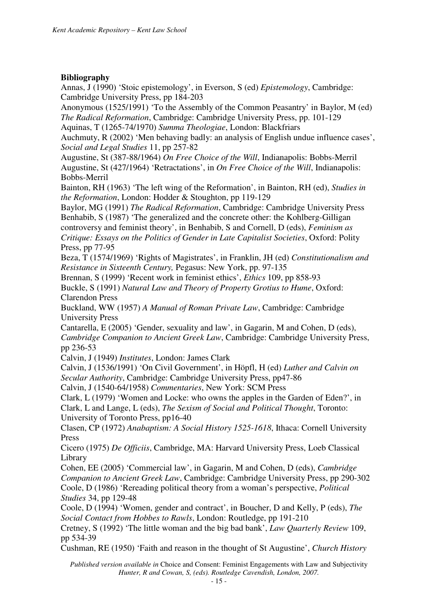## **Bibliography**

Annas, J (1990) 'Stoic epistemology', in Everson, S (ed) *Epistemology*, Cambridge: Cambridge University Press, pp 184-203

Anonymous (1525/1991) 'To the Assembly of the Common Peasantry' in Baylor, M (ed) *The Radical Reformation*, Cambridge: Cambridge University Press, pp. 101-129 Aquinas, T (1265-74/1970) *Summa Theologiae*, London: Blackfriars

Auchmuty, R (2002) 'Men behaving badly: an analysis of English undue influence cases', *Social and Legal Studies* 11, pp 257-82

Augustine, St (387-88/1964) *On Free Choice of the Will*, Indianapolis: Bobbs-Merril Augustine, St (427/1964) 'Retractations', in *On Free Choice of the Will*, Indianapolis: Bobbs-Merril

Bainton, RH (1963) 'The left wing of the Reformation', in Bainton, RH (ed), *Studies in the Reformation*, London: Hodder & Stoughton, pp 119-129

Baylor, MG (1991) *The Radical Reformation*, Cambridge: Cambridge University Press Benhabib, S (1987) 'The generalized and the concrete other: the Kohlberg-Gilligan controversy and feminist theory', in Benhabib, S and Cornell, D (eds), *Feminism as Critique: Essays on the Politics of Gender in Late Capitalist Societies*, Oxford: Polity Press, pp 77-95

Beza, T (1574/1969) 'Rights of Magistrates', in Franklin, JH (ed) *Constitutionalism and Resistance in Sixteenth Century,* Pegasus: New York, pp. 97-135

Brennan, S (1999) 'Recent work in feminist ethics', *Ethics* 109, pp 858-93

Buckle, S (1991) *Natural Law and Theory of Property Grotius to Hume*, Oxford: Clarendon Press

Buckland, WW (1957) *A Manual of Roman Private Law*, Cambridge: Cambridge University Press

Cantarella, E (2005) 'Gender, sexuality and law', in Gagarin, M and Cohen, D (eds), *Cambridge Companion to Ancient Greek Law*, Cambridge: Cambridge University Press, pp 236-53

Calvin, J (1949) *Institutes*, London: James Clark

Calvin, J (1536/1991) 'On Civil Government', in Höpfl, H (ed) *Luther and Calvin on Secular Authority*, Cambridge: Cambridge University Press, pp47-86

Calvin, J (1540-64/1958) *Commentaries*, New York: SCM Press

Clark, L (1979) 'Women and Locke: who owns the apples in the Garden of Eden?', in Clark, L and Lange, L (eds), *The Sexism of Social and Political Thought*, Toronto: University of Toronto Press, pp16-40

Clasen, CP (1972) *Anabaptism: A Social History 1525-1618*, Ithaca: Cornell University Press

Cicero (1975) *De Officiis*, Cambridge, MA: Harvard University Press, Loeb Classical Library

Cohen, EE (2005) 'Commercial law', in Gagarin, M and Cohen, D (eds), *Cambridge Companion to Ancient Greek Law*, Cambridge: Cambridge University Press, pp 290-302 Coole, D (1986) 'Rereading political theory from a woman's perspective, *Political Studies* 34, pp 129-48

Coole, D (1994) 'Women, gender and contract', in Boucher, D and Kelly, P (eds), *The Social Contact from Hobbes to Rawls*, London: Routledge, pp 191-210

Cretney, S (1992) 'The little woman and the big bad bank', *Law Quarterly Review* 109, pp 534-39

Cushman, RE (1950) 'Faith and reason in the thought of St Augustine', *Church History*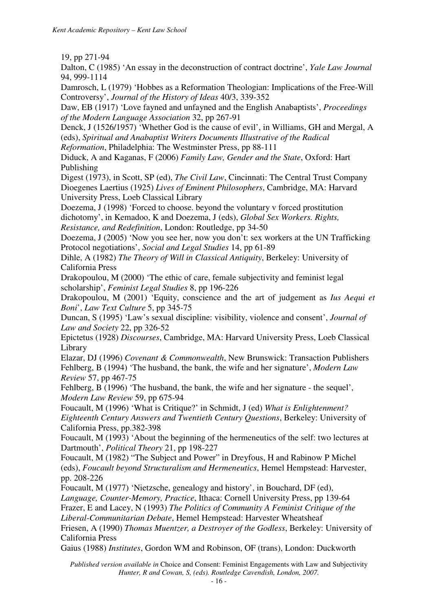19, pp 271-94

Dalton, C (1985) 'An essay in the deconstruction of contract doctrine', *Yale Law Journal* 94, 999-1114

Damrosch, L (1979) 'Hobbes as a Reformation Theologian: Implications of the Free-Will Controversy', *Journal of the History of Ideas* 40/3, 339-352

Daw, EB (1917) 'Love fayned and unfayned and the English Anabaptists', *Proceedings of the Modern Language Association* 32, pp 267-91

Denck, J (1526/1957) 'Whether God is the cause of evil', in Williams, GH and Mergal, A (eds), *Spiritual and Anabaptist Writers Documents Illustrative of the Radical* 

*Reformation*, Philadelphia: The Westminster Press, pp 88-111

Diduck, A and Kaganas, F (2006) *Family Law, Gender and the State*, Oxford: Hart Publishing

Digest (1973), in Scott, SP (ed), *The Civil Law*, Cincinnati: The Central Trust Company Dioegenes Laertius (1925) *Lives of Eminent Philosophers*, Cambridge, MA: Harvard University Press, Loeb Classical Library

Doezema, J (1998) 'Forced to choose. beyond the voluntary v forced prostitution dichotomy', in Kemadoo, K and Doezema, J (eds), *Global Sex Workers. Rights, Resistance, and Redefinition*, London: Routledge, pp 34-50

Doezema, J (2005) 'Now you see her, now you don't: sex workers at the UN Trafficking Protocol negotiations', *Social and Legal Studies* 14, pp 61-89

Dihle, A (1982) *The Theory of Will in Classical Antiquity*, Berkeley: University of California Press

Drakopoulou, M (2000) 'The ethic of care, female subjectivity and feminist legal scholarship', *Feminist Legal Studies* 8, pp 196-226

Drakopoulou, M (2001) 'Equity, conscience and the art of judgement as *Ius Aequi et Boni*', *Law Text Culture* 5, pp 345-75

Duncan, S (1995) 'Law's sexual discipline: visibility, violence and consent', *Journal of Law and Society* 22, pp 326-52

Epictetus (1928) *Discourses*, Cambridge, MA: Harvard University Press, Loeb Classical Library

Elazar, DJ (1996) *Covenant & Commonwealth*, New Brunswick: Transaction Publishers Fehlberg, B (1994) 'The husband, the bank, the wife and her signature', *Modern Law Review* 57, pp 467-75

Fehlberg, B (1996) 'The husband, the bank, the wife and her signature - the sequel', *Modern Law Review* 59, pp 675-94

Foucault, M (1996) 'What is Critique?' in Schmidt, J (ed) *What is Enlightenment? Eighteenth Century Answers and Twentieth Century Questions*, Berkeley: University of California Press, pp.382-398

Foucault, M (1993) 'About the beginning of the hermeneutics of the self: two lectures at Dartmouth', *Political Theory* 21, pp 198-227

Foucault, M (1982) "The Subject and Power" in Dreyfous, H and Rabinow P Michel (eds), *Foucault beyond Structuralism and Hermeneutics*, Hemel Hempstead: Harvester, pp. 208-226

Foucault, M (1977) 'Nietzsche, genealogy and history', in Bouchard, DF (ed), *Language, Counter-Memory, Practice*, Ithaca: Cornell University Press, pp 139-64 Frazer, E and Lacey, N (1993) *The Politics of Community A Feminist Critique of the Liberal-Communitarian Debate*, Hemel Hempstead: Harvester Wheatsheaf

Friesen, A (1990) *Thomas Muentzer, a Destroyer of the Godless*, Berkeley: University of California Press

Gaius (1988) *Institutes*, Gordon WM and Robinson, OF (trans), London: Duckworth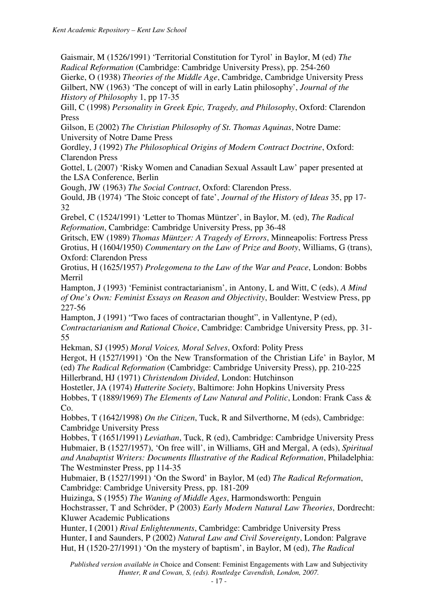Gaismair, M (1526/1991) 'Territorial Constitution for Tyrol' in Baylor, M (ed) *The Radical Reformation* (Cambridge: Cambridge University Press), pp. 254-260

Gierke, O (1938) *Theories of the Middle Age*, Cambridge, Cambridge University Press Gilbert, NW (1963) 'The concept of will in early Latin philosophy', *Journal of the History of Philosophy* 1, pp 17-35

Gill, C (1998) *Personality in Greek Epic, Tragedy, and Philosophy*, Oxford: Clarendon Press

Gilson, E (2002) *The Christian Philosophy of St. Thomas Aquinas*, Notre Dame: University of Notre Dame Press

Gordley, J (1992) *The Philosophical Origins of Modern Contract Doctrine*, Oxford: Clarendon Press

Gottel, L (2007) 'Risky Women and Canadian Sexual Assault Law' paper presented at the LSA Conference, Berlin

Gough, JW (1963) *The Social Contract*, Oxford: Clarendon Press.

Gould, JB (1974) 'The Stoic concept of fate', *Journal of the History of Ideas* 35, pp 17- 32

Grebel, C (1524/1991) 'Letter to Thomas Müntzer', in Baylor, M. (ed), *The Radical Reformation*, Cambridge: Cambridge University Press, pp 36-48

Gritsch, EW (1989) *Thomas Müntzer: A Tragedy of Errors*, Minneapolis: Fortress Press Grotius, H (1604/1950) *Commentary on the Law of Prize and Booty*, Williams, G (trans), Oxford: Clarendon Press

Grotius, H (1625/1957) *Prolegomena to the Law of the War and Peace*, London: Bobbs Merril

Hampton, J (1993) 'Feminist contractarianism', in Antony, L and Witt, C (eds), *A Mind of One's Own: Feminist Essays on Reason and Objectivity*, Boulder: Westview Press, pp 227-56

Hampton, J (1991) "Two faces of contractarian thought", in Vallentyne, P (ed), *Contractarianism and Rational Choice*, Cambridge: Cambridge University Press, pp. 31- 55

Hekman, SJ (1995) *Moral Voices, Moral Selves*, Oxford: Polity Press

Hergot, H (1527/1991) 'On the New Transformation of the Christian Life' in Baylor, M (ed) *The Radical Reformation* (Cambridge: Cambridge University Press), pp. 210-225 Hillerbrand, HJ (1971) *Christendom Divided*, London: Hutchinson

Hostetler, JA (1974) *Hutterite Society*, Baltimore: John Hopkins University Press Hobbes, T (1889/1969) *The Elements of Law Natural and Politic*, London: Frank Cass & Co.

Hobbes, T (1642/1998) *On the Citizen*, Tuck, R and Silverthorne, M (eds), Cambridge: Cambridge University Press

Hobbes, T (1651/1991) *Leviathan*, Tuck, R (ed), Cambridge: Cambridge University Press Hubmaier, B (1527/1957), 'On free will', in Williams, GH and Mergal, A (eds), *Spiritual and Anabaptist Writers: Documents Illustrative of the Radical Reformation*, Philadelphia: The Westminster Press, pp 114-35

Hubmaier, B (1527/1991) 'On the Sword' in Baylor, M (ed) *The Radical Reformation*, Cambridge: Cambridge University Press, pp. 181-209

Huizinga, S (1955) *The Waning of Middle Ages*, Harmondsworth: Penguin

Hochstrasser, T and Schröder, P (2003) *Early Modern Natural Law Theories*, Dordrecht: Kluwer Academic Publications

Hunter, I (2001) *Rival Enlightenments*, Cambridge: Cambridge University Press Hunter, I and Saunders, P (2002) *Natural Law and Civil Sovereignty*, London: Palgrave Hut, H (1520-27/1991) 'On the mystery of baptism', in Baylor, M (ed), *The Radical*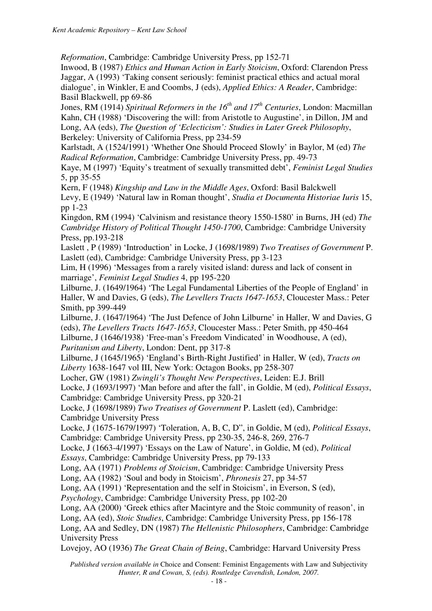*Reformation*, Cambridge: Cambridge University Press, pp 152-71

Inwood, B (1987) *Ethics and Human Action in Early Stoicism*, Oxford: Clarendon Press Jaggar, A (1993) 'Taking consent seriously: feminist practical ethics and actual moral dialogue', in Winkler, E and Coombs, J (eds), *Applied Ethics: A Reader*, Cambridge: Basil Blackwell, pp 69-86

Jones, RM (1914) *Spiritual Reformers in the 16th and 17th Centuries*, London: Macmillan Kahn, CH (1988) 'Discovering the will: from Aristotle to Augustine', in Dillon, JM and Long, AA (eds), *The Question of 'Eclecticism': Studies in Later Greek Philosophy*, Berkeley: University of California Press, pp 234-59

Karlstadt, A (1524/1991) 'Whether One Should Proceed Slowly' in Baylor, M (ed) *The Radical Reformation*, Cambridge: Cambridge University Press, pp. 49-73

Kaye, M (1997) 'Equity's treatment of sexually transmitted debt', *Feminist Legal Studies* 5, pp 35-55

Kern, F (1948) *Kingship and Law in the Middle Ages*, Oxford: Basil Balckwell Levy, E (1949) 'Natural law in Roman thought', *Studia et Documenta Historiae Iuris* 15, pp 1-23

Kingdon, RM (1994) 'Calvinism and resistance theory 1550-1580' in Burns, JH (ed) *The Cambridge History of Political Thought 1450-1700*, Cambridge: Cambridge University Press, pp.193-218

Laslett , P (1989) 'Introduction' in Locke, J (1698/1989) *Two Treatises of Government* P. Laslett (ed), Cambridge: Cambridge University Press, pp 3-123

Lim, H (1996) 'Messages from a rarely visited island: duress and lack of consent in marriage', *Feminist Legal Studies* 4, pp 195-220

Lilburne, J. (1649/1964) 'The Legal Fundamental Liberties of the People of England' in Haller, W and Davies, G (eds), *The Levellers Tracts 1647-1653*, Cloucester Mass.: Peter Smith, pp 399-449

Lilburne, J. (1647/1964) 'The Just Defence of John Lilburne' in Haller, W and Davies, G (eds), *The Levellers Tracts 1647-1653*, Cloucester Mass.: Peter Smith, pp 450-464

Lilburne, J (1646/1938) 'Free-man's Freedom Vindicated' in Woodhouse, A (ed), *Puritanism and Liberty*, London: Dent, pp 317-8

Lilburne, J (1645/1965) 'England's Birth-Right Justified' in Haller, W (ed), *Tracts on Liberty* 1638-1647 vol III, New York: Octagon Books, pp 258-307

Locher, GW (1981) *Zwingli's Thought New Perspectives*, Leiden: E.J. Brill

Locke, J (1693/1997) 'Man before and after the fall', in Goldie, M (ed), *Political Essays*, Cambridge: Cambridge University Press, pp 320-21

Locke, J (1698/1989) *Two Treatises of Government* P. Laslett (ed), Cambridge: Cambridge University Press

Locke, J (1675-1679/1997) 'Toleration, A, B, C, D", in Goldie, M (ed), *Political Essays*, Cambridge: Cambridge University Press, pp 230-35, 246-8, 269, 276-7

Locke, J (1663-4/1997) 'Essays on the Law of Nature', in Goldie, M (ed), *Political Essays*, Cambridge: Cambridge University Press, pp 79-133

Long, AA (1971) *Problems of Stoicism*, Cambridge: Cambridge University Press

Long, AA (1982) 'Soul and body in Stoicism', *Phronesis* 27, pp 34-57

Long, AA (1991) 'Representation and the self in Stoicism', in Everson, S (ed),

*Psychology*, Cambridge: Cambridge University Press, pp 102-20

Long, AA (2000) 'Greek ethics after Macintyre and the Stoic community of reason', in

Long, AA (ed), *Stoic Studies*, Cambridge: Cambridge University Press, pp 156-178

Long, AA and Sedley, DN (1987) *The Hellenistic Philosophers*, Cambridge: Cambridge University Press

Lovejoy, AO (1936) *The Great Chain of Being*, Cambridge: Harvard University Press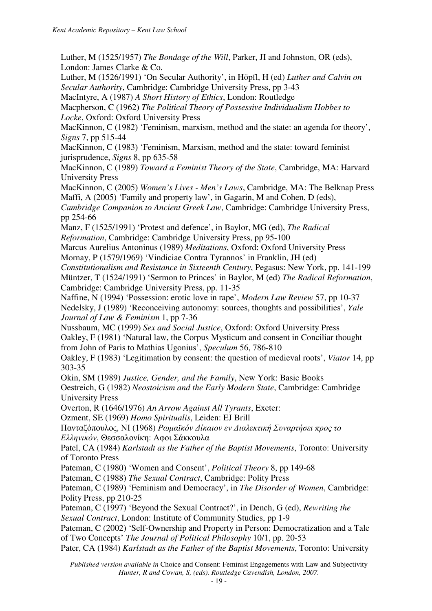Luther, M (1525/1957) *The Bondage of the Will*, Parker, JI and Johnston, OR (eds), London: James Clarke & Co.

Luther, M (1526/1991) 'On Secular Authority', in Höpfl, H (ed) *Luther and Calvin on Secular Authority*, Cambridge: Cambridge University Press, pp 3-43

MacIntyre, A (1987) *A Short History of Ethics*, London: Routledge

Macpherson, C (1962) *The Political Theory of Possessive Individualism Hobbes to Locke*, Oxford: Oxford University Press

MacKinnon, C (1982) 'Feminism, marxism, method and the state: an agenda for theory', *Signs* 7, pp 515-44

MacKinnon, C (1983) 'Feminism, Marxism, method and the state: toward feminist jurisprudence, *Signs* 8, pp 635-58

MacKinnon, C (1989) *Toward a Feminist Theory of the State*, Cambridge, MA: Harvard University Press

MacKinnon, C (2005) *Women's Lives - Men's Laws*, Cambridge, MA: The Belknap Press Maffi, A (2005) 'Family and property law', in Gagarin, M and Cohen, D (eds),

*Cambridge Companion to Ancient Greek Law*, Cambridge: Cambridge University Press, pp 254-66

Manz, F (1525/1991) 'Protest and defence', in Baylor, MG (ed), *The Radical Reformation*, Cambridge: Cambridge University Press, pp 95-100

Marcus Aurelius Antoninus (1989) *Meditations*, Oxford: Oxford University Press Mornay, P (1579/1969) 'Vindiciae Contra Tyrannos' in Franklin, JH (ed)

*Constitutionalism and Resistance in Sixteenth Century*, Pegasus: New York, pp. 141-199 Müntzer, T (1524/1991) 'Sermon to Princes' in Baylor, M (ed) *The Radical Reformation*, Cambridge: Cambridge University Press, pp. 11-35

Naffine, N (1994) 'Possession: erotic love in rape', *Modern Law Review* 57, pp 10-37

Nedelsky, J (1989) 'Reconceiving autonomy: sources, thoughts and possibilities', *Yale Journal of Law & Feminism* 1, pp 7-36

Nussbaum, MC (1999) *Sex and Social Justice*, Oxford: Oxford University Press Oakley, F (1981) 'Natural law, the Corpus Mysticum and consent in Conciliar thought from John of Paris to Mathias Ugonius', *Speculum* 56, 786-810

Oakley, F (1983) 'Legitimation by consent: the question of medieval roots', *Viator* 14, pp 303-35

Okin, SM (1989) *Justice, Gender, and the Family*, New York: Basic Books

Oestreich, G (1982) *Neostoicism and the Early Modern State*, Cambridge: Cambridge University Press

Overton, R (1646/1976) *An Arrow Against All Tyrants*, Exeter:

Ozment, SE (1969) *Homo Spiritualis*, Leiden: EJ Brill

Πανταζόπουλος, ΝΙ (1968) Ρωμαϊκόν Δίκαιον εν Διαλεκτική Συναρτήσει προς το Ελληνικόν, Θεσσαλονίκη: Αφοι Σάκκουλα

Patel, CA (1984) *Karlstadt as the Father of the Baptist Movements*, Toronto: University of Toronto Press

Pateman, C (1980) 'Women and Consent', *Political Theory* 8, pp 149-68

Pateman, C (1988) *The Sexual Contract*, Cambridge: Polity Press

Pateman, C (1989) 'Feminism and Democracy', in *The Disorder of Women*, Cambridge: Polity Press, pp 210-25

Pateman, C (1997) 'Beyond the Sexual Contract?', in Dench, G (ed), *Rewriting the Sexual Contract*, London: Institute of Community Studies, pp 1-9

Pateman, C (2002) 'Self-Ownership and Property in Person: Democratization and a Tale of Two Concepts' *The Journal of Political Philosophy* 10/1, pp. 20-53

Pater, CA (1984) *Karlstadt as the Father of the Baptist Movements*, Toronto: University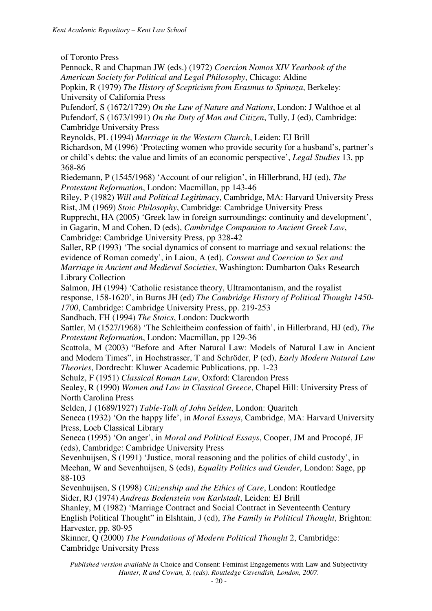of Toronto Press

Pennock, R and Chapman JW (eds.) (1972) *Coercion Nomos XIV Yearbook of the American Society for Political and Legal Philosophy*, Chicago: Aldine

Popkin, R (1979) *The History of Scepticism from Erasmus to Spinoza*, Berkeley: University of California Press

Pufendorf, S (1672/1729) *On the Law of Nature and Nations*, London: J Walthoe et al Pufendorf, S (1673/1991) *On the Duty of Man and Citizen*, Tully, J (ed), Cambridge: Cambridge University Press

Reynolds, PL (1994) *Marriage in the Western Church*, Leiden: EJ Brill Richardson, M (1996) 'Protecting women who provide security for a husband's, partner's or child's debts: the value and limits of an economic perspective', *Legal Studies* 13, pp 368-86

Riedemann, P (1545/1968) 'Account of our religion', in Hillerbrand, HJ (ed), *The Protestant Reformation*, London: Macmillan, pp 143-46

Riley, P (1982) *Will and Political Legitimacy*, Cambridge, MA: Harvard University Press Rist, JM (1969) *Stoic Philosophy*, Cambridge: Cambridge University Press

Rupprecht, HA (2005) 'Greek law in foreign surroundings: continuity and development', in Gagarin, M and Cohen, D (eds), *Cambridge Companion to Ancient Greek Law*, Cambridge: Cambridge University Press, pp 328-42

Saller, RP (1993) 'The social dynamics of consent to marriage and sexual relations: the evidence of Roman comedy', in Laiou, A (ed), *Consent and Coercion to Sex and Marriage in Ancient and Medieval Societies*, Washington: Dumbarton Oaks Research Library Collection

Salmon, JH (1994) 'Catholic resistance theory, Ultramontanism, and the royalist response, 158-1620', in Burns JH (ed) *The Cambridge History of Political Thought 1450- 1700*, Cambridge: Cambridge University Press, pp. 219-253

Sandbach, FH (1994) *The Stoics*, London: Duckworth

Sattler, M (1527/1968) 'The Schleitheim confession of faith', in Hillerbrand, HJ (ed), *The Protestant Reformation*, London: Macmillan, pp 129-36

Scattola, M (2003) "Before and After Natural Law: Models of Natural Law in Ancient and Modern Times", in Hochstrasser, T and Schröder, P (ed), *Early Modern Natural Law Theories*, Dordrecht: Kluwer Academic Publications, pp. 1-23

Schulz, F (1951) *Classical Roman Law*, Oxford: Clarendon Press

Sealey, R (1990) *Women and Law in Classical Greece*, Chapel Hill: University Press of North Carolina Press

Selden, J (1689/1927) *Table-Talk of John Selden*, London: Quaritch

Seneca (1932) 'On the happy life', in *Moral Essays*, Cambridge, MA: Harvard University Press, Loeb Classical Library

Seneca (1995) 'On anger', in *Moral and Political Essays*, Cooper, JM and Procopé, JF (eds), Cambridge: Cambridge University Press

Sevenhuijsen, S (1991) 'Justice, moral reasoning and the politics of child custody', in Meehan, W and Sevenhuijsen, S (eds), *Equality Politics and Gender*, London: Sage, pp 88-103

Sevenhuijsen, S (1998) *Citizenship and the Ethics of Care*, London: Routledge Sider, RJ (1974) *Andreas Bodenstein von Karlstadt*, Leiden: EJ Brill

Shanley, M (1982) 'Marriage Contract and Social Contract in Seventeenth Century

English Political Thought" in Elshtain, J (ed), *The Family in Political Thought*, Brighton: Harvester, pp. 80-95

Skinner, Q (2000) *The Foundations of Modern Political Thought* 2, Cambridge: Cambridge University Press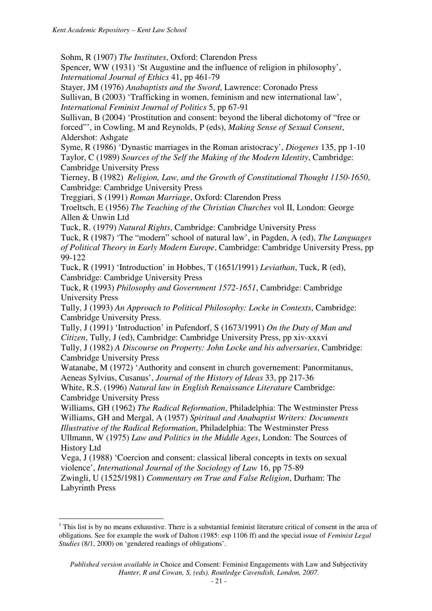Sohm, R (1907) *The Institutes*, Oxford: Clarendon Press

Spencer, WW (1931) 'St Augustine and the influence of religion in philosophy', *International Journal of Ethics* 41, pp 461-79

Stayer, JM (1976) *Anabaptists and the Sword*, Lawrence: Coronado Press

Sullivan, B (2003) 'Trafficking in women, feminism and new international law',

*International Feminist Journal of Politics* 5, pp 67-91

Sullivan, B (2004) 'Prostitution and consent: beyond the liberal dichotomy of "free or forced"', in Cowling, M and Reynolds, P (eds), *Making Sense of Sexual Consent*, Aldershot: Ashgate

Syme, R (1986) 'Dynastic marriages in the Roman aristocracy', *Diogenes* 135, pp 1-10 Taylor, C (1989) *Sources of the Self the Making of the Modern Identity*, Cambridge: Cambridge University Press

Tierney, B (1982) *Religion, Law, and the Growth of Constitutional Thought 1150-1650*, Cambridge: Cambridge University Press

Treggiari, S (1991) *Roman Marriage*, Oxford: Clarendon Press

Troeltsch, E (1956) *The Teaching of the Christian Churches* vol II, London: George Allen & Unwin Ltd

Tuck, R. (1979) *Natural Rights*, Cambridge: Cambridge University Press

Tuck, R (1987) 'The "modern" school of natural law', in Pagden, A (ed), *The Languages of Political Theory in Early Modern Europe*, Cambridge: Cambridge University Press, pp 99-122

Tuck, R (1991) 'Introduction' in Hobbes, T (1651/1991) *Leviathan*, Tuck, R (ed), Cambridge: Cambridge University Press

Tuck, R (1993) *Philosophy and Government 1572-1651*, Cambridge: Cambridge University Press

Tully, J (1993) *An Approach to Political Philosophy: Locke in Contexts*, Cambridge: Cambridge University Press.

Tully, J (1991) 'Introduction' in Pufendorf, S (1673/1991) *On the Duty of Man and Citizen*, Tully, J (ed), Cambridge: Cambridge University Press, pp xiv-xxxvi Tully, J (1982) *A Discourse on Property: John Locke and his adversaries*, Cambridge: Cambridge University Press

Watanabe, M (1972) 'Authority and consent in church governement: Panormitanus, Aeneas Sylvius, Cusanus', *Journal of the History of Ideas* 33, pp 217-36

White, R.S. (1996) *Natural law in English Renaissance Literature* Cambridge: Cambridge University Press

Williams, GH (1962) *The Radical Reformation*, Philadelphia: The Westminster Press Williams, GH and Mergal, A (1957) *Spiritual and Anabaptist Writers: Documents Illustrative of the Radical Reformation*, Philadelphia: The Westminster Press Ullmann, W (1975) *Law and Politics in the Middle Ages*, London: The Sources of History Ltd

Vega, J (1988) 'Coercion and consent: classical liberal concepts in texts on sexual violence', *International Journal of the Sociology of Law* 16, pp 75-89

Zwingli, U (1525/1981) *Commentary on True and False Religion*, Durham: The Labyrinth Press

 $\overline{a}$ 

<sup>&</sup>lt;sup>1</sup> This list is by no means exhaustive. There is a substantial feminist literature critical of consent in the area of obligations. See for example the work of Dalton (1985: esp 1106 ff) and the special issue of *Feminist Legal Studies* (8/1, 2000) on 'gendered readings of obligations'.

*Published version available in* Choice and Consent: Feminist Engagements with Law and Subjectivity *Hunter, R and Cowan, S, (eds). Routledge Cavendish, London, 2007.*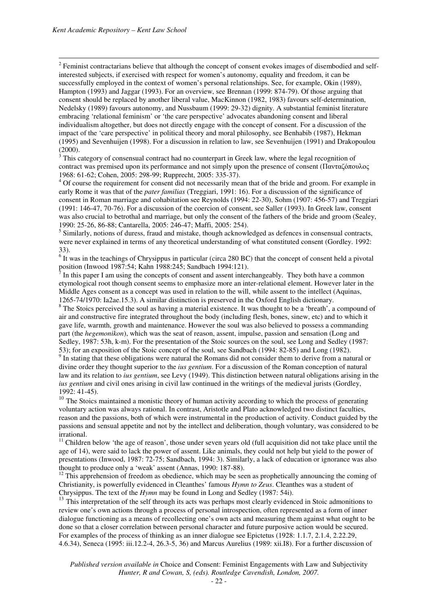$\overline{a}$ 

 $2^2$  Feminist contractarians believe that although the concept of consent evokes images of disembodied and selfinterested subjects, if exercised with respect for women's autonomy, equality and freedom, it can be successfully employed in the context of women's personal relationships. See, for example, Okin (1989), Hampton (1993) and Jaggar (1993). For an overview, see Brennan (1999: 874-79). Of those arguing that consent should be replaced by another liberal value, MacKinnon (1982, 1983) favours self-determination, Nedelsky (1989) favours autonomy, and Nussbaum (1999: 29-32) dignity. A substantial feminist literature embracing 'relational feminism' or 'the care perspective' advocates abandoning consent and liberal individualism altogether, but does not directly engage with the concept of consent. For a discussion of the impact of the 'care perspective' in political theory and moral philosophy, see Benhabib (1987), Hekman (1995) and Sevenhuijen (1998). For a discussion in relation to law, see Sevenhuijen (1991) and Drakopoulou (2000).

<sup>3</sup> This category of consensual contract had no counterpart in Greek law, where the legal recognition of contract was premised upon its performance and not simply upon the presence of consent (Πανταζόπουλος 1968: 61-62; Cohen, 2005: 298-99; Rupprecht, 2005: 335-37).

<sup>4</sup> Of course the requirement for consent did not necessarily mean that of the bride and groom. For example in early Rome it was that of the *pater familias* (Treggiari, 1991: 16). For a discussion of the significance of consent in Roman marriage and cohabitation see Reynolds (1994: 22-30), Sohm (1907: 456-57) and Treggiari (1991: 146-47, 70-76). For a discussion of the coercion of consent, see Saller (1993). In Greek law, consent was also crucial to betrothal and marriage, but only the consent of the fathers of the bride and groom (Sealey, 1990: 25-26, 86-88; Cantarella, 2005: 246-47; Maffi, 2005: 254).

<sup>5</sup> Similarly, notions of duress, fraud and mistake, though acknowledged as defences in consensual contracts, were never explained in terms of any theoretical understanding of what constituted consent (Gordley. 1992: 33).

<sup>6</sup> It was in the teachings of Chrysippus in particular (circa 280 BC) that the concept of consent held a pivotal position (Inwood 1987:54; Kahn 1988:245; Sandbach 1994:121).

7 In this paper I am using the concepts of consent and assent interchangeably. They both have a common etymological root though consent seems to emphasize more an inter-relational element. However later in the Middle Ages consent as a concept was used in relation to the will, while assent to the intellect (Aquinas, 1265-74/1970: Ia2ae.15.3). A similar distinction is preserved in the Oxford English dictionary.

 $8$  The Stoics perceived the soul as having a material existence. It was thought to be a 'breath', a compound of air and constructive fire integrated throughout the body (including flesh, bones, sinew, etc) and to which it gave life, warmth, growth and maintenance. However the soul was also believed to possess a commanding part (the *hegemonikon*), which was the seat of reason, assent, impulse, passion and sensation (Long and Sedley, 1987: 53h, k-m). For the presentation of the Stoic sources on the soul, see Long and Sedley (1987: 53); for an exposition of the Stoic concept of the soul, see Sandbach (1994: 82-85) and Long (1982).

<sup>9</sup> In stating that these obligations were natural the Romans did not consider them to derive from a natural or divine order they thought superior to the *ius gentium*. For a discussion of the Roman conception of natural law and its relation to *ius gentium*, see Levy (1949). This distinction between natural obligations arising in the *ius gentium* and civil ones arising in civil law continued in the writings of the medieval jurists (Gordley, 1992: 41-45).

 $10$  The Stoics maintained a monistic theory of human activity according to which the process of generating voluntary action was always rational. In contrast, Aristotle and Plato acknowledged two distinct faculties, reason and the passions, both of which were instrumental in the production of activity. Conduct guided by the passions and sensual appetite and not by the intellect and deliberation, though voluntary, was considered to be irrational.

 $11$  Children below 'the age of reason', those under seven years old (full acquisition did not take place until the age of 14), were said to lack the power of assent. Like animals, they could not help but yield to the power of presentations (Inwood, 1987: 72-75; Sandbach, 1994: 3). Similarly, a lack of education or ignorance was also thought to produce only a 'weak' assent (Annas, 1990: 187-88).

<sup>12</sup> This apprehension of freedom as obedience, which may be seen as prophetically announcing the coming of Christianity, is powerfully evidenced in Cleanthes' famous *Hymn to Zeus*. Cleanthes was a student of Chrysippus. The text of the *Hymn* may be found in Long and Sedley (1987: 54i).

<sup>13</sup> This interpretation of the self through its acts was perhaps most clearly evidenced in Stoic admonitions to review one's own actions through a process of personal introspection, often represented as a form of inner dialogue functioning as a means of recollecting one's own acts and measuring them against what ought to be done so that a closer correlation between personal character and future purposive action would be secured. For examples of the process of thinking as an inner dialogue see Epictetus (1928: 1.1.7, 2.1.4, 2.22.29, 4.6.34), Seneca (1995: iii.12.2-4, 26.3-5, 36) and Marcus Aurelius (1989: xii.I8). For a further discussion of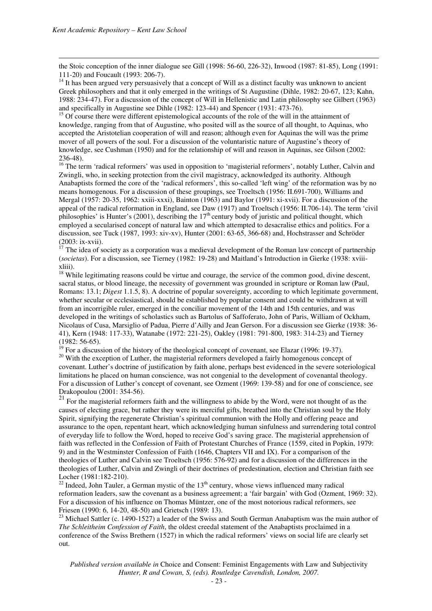$\overline{a}$ 

the Stoic conception of the inner dialogue see Gill (1998: 56-60, 226-32), Inwood (1987: 81-85), Long (1991: 111-20) and Foucault (1993: 206-7).

 $14$  It has been argued very persuasively that a concept of Will as a distinct faculty was unknown to ancient Greek philosophers and that it only emerged in the writings of St Augustine (Dihle, 1982: 20-67, 123; Kahn, 1988: 234-47). For a discussion of the concept of Will in Hellenistic and Latin philosophy see Gilbert (1963) and specifically in Augustine see Dihle (1982: 123-44) and Spencer (1931: 473-76).

<sup>15</sup> Of course there were different epistemological accounts of the role of the will in the attainment of knowledge, ranging from that of Augustine, who posited will as the source of all thought, to Aquinas, who accepted the Aristotelian cooperation of will and reason; although even for Aquinas the will was the prime mover of all powers of the soul. For a discussion of the voluntaristic nature of Augustine's theory of knowledge, see Cushman (1950) and for the relationship of will and reason in Aquinas, see Gilson (2002: 236-48).

<sup>16</sup> The term 'radical reformers' was used in opposition to 'magisterial reformers', notably Luther, Calvin and Zwingli, who, in seeking protection from the civil magistracy, acknowledged its authority. Although Anabaptists formed the core of the 'radical reformers', this so-called 'left wing' of the reformation was by no means homogenous. For a discussion of these groupings, see Troeltsch (1956: II.691-700), Williams and Mergal (1957: 20-35, 1962: xxiii-xxxi), Bainton (1963) and Baylor (1991: xi-xvii). For a discussion of the appeal of the radical reformation in England, see Daw (1917) and Troeltsch (1956: II.706-14). The term 'civil philosophies' is Hunter's (2001), describing the  $17<sup>th</sup>$  century body of juristic and political thought, which employed a secularised concept of natural law and which attempted to desacralise ethics and politics. For a discussion, see Tuck (1987, 1993: xiv-xv), Hunter (2001: 63-65, 366-68) and, Hochstrasser and Schröder  $(2003: ix-xvii).$ 

The idea of society as a corporation was a medieval development of the Roman law concept of partnership (*societas*). For a discussion, see Tierney (1982: 19-28) and Maitland's Introduction in Gierke (1938: xviiixliii).

 $18$  While legitimating reasons could be virtue and courage, the service of the common good, divine descent, sacral status, or blood lineage, the necessity of government was grounded in scripture or Roman law (Paul, Romans: 13.1; *Digest* 1.1.5, 8). A doctrine of popular sovereignty, according to which legitimate government, whether secular or ecclesiastical, should be established by popular consent and could be withdrawn at will from an incorrigible ruler, emerged in the conciliar movement of the 14th and 15th centuries, and was developed in the writings of scholastics such as Bartolus of Saffoferato, John of Paris, William of Ockham, Nicolaus of Cusa, Marsiglio of Padua, Pierre d'Ailly and Jean Gerson. For a discussion see Gierke (1938: 36- 41), Kern (1948: 117-33), Watanabe (1972: 221-25), Oakley (1981: 791-800, 1983: 314-23) and Tierney (1982: 56-65).

<sup>19</sup> For a discussion of the history of the theological concept of covenant, see Elazar (1996: 19-37).

<sup>20</sup> With the exception of Luther, the magisterial reformers developed a fairly homogenous concept of covenant. Luther's doctrine of justification by faith alone, perhaps best evidenced in the severe soteriological limitations he placed on human conscience, was not congenial to the development of covenantal theology. For a discussion of Luther's concept of covenant, see Ozment (1969: 139-58) and for one of conscience, see Drakopoulou (2001: 354-56).

 $21$  For the magisterial reformers faith and the willingness to abide by the Word, were not thought of as the causes of electing grace, but rather they were its merciful gifts, breathed into the Christian soul by the Holy Spirit, signifying the regenerate Christian's spiritual communion with the Holly and offering peace and assurance to the open, repentant heart, which acknowledging human sinfulness and surrendering total control of everyday life to follow the Word, hoped to receive God's saving grace. The magisterial apprehension of faith was reflected in the Confession of Faith of Protestant Churches of France (1559, cited in Popkin, 1979: 9) and in the Westminster Confession of Faith (1646, Chapters VII and IX). For a comparison of the theologies of Luther and Calvin see Troeltsch (1956: 576-92) and for a discussion of the differences in the theologies of Luther, Calvin and Zwingli of their doctrines of predestination, election and Christian faith see Locher (1981:182-210).

 $22$  Indeed. John Tauler, a German mystic of the  $13<sup>th</sup>$  century, whose views influenced many radical reformation leaders, saw the covenant as a business agreement; a 'fair bargain' with God (Ozment, 1969: 32). For a discussion of his influence on Thomas Müntzer, one of the most notorious radical reformers, see Friesen (1990: 6, 14-20, 48-50) and Grietsch (1989: 13).

<sup>23</sup> Michael Sattler (c. 1490-1527) a leader of the Swiss and South German Anabaptism was the main author of *The Schleitheim Confession of Faith*, the oldest creedal statement of the Anabaptists proclaimed in a conference of the Swiss Brethern (1527) in which the radical reformers' views on social life are clearly set out.